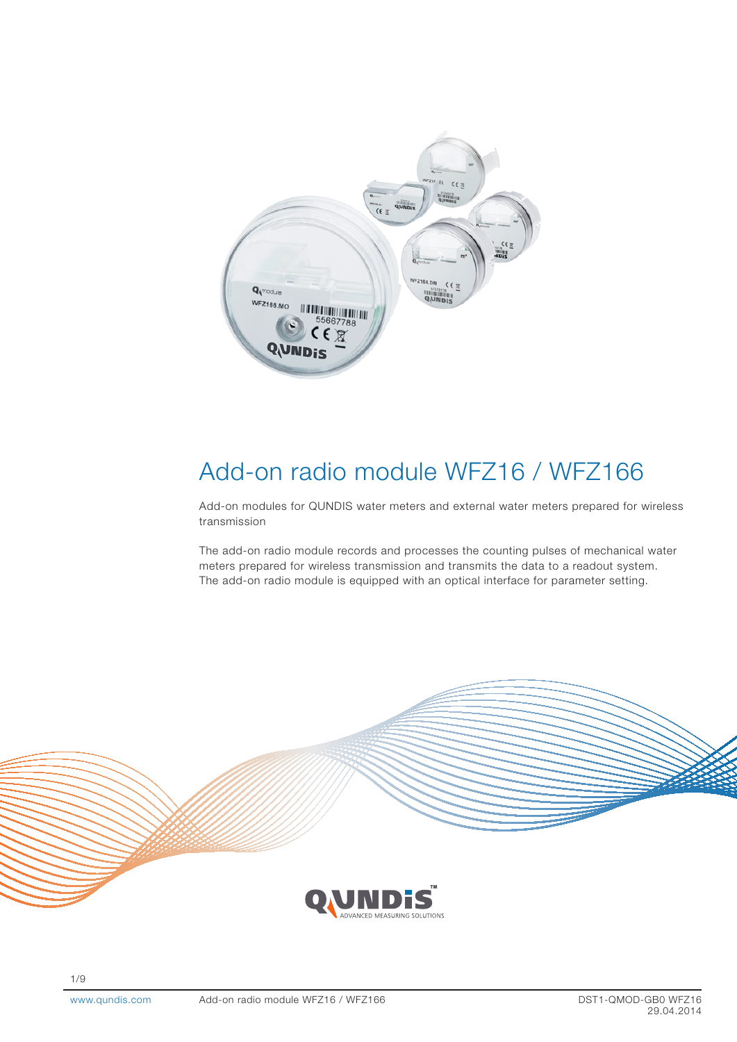

# Add-on radio module WFZ16 / WFZ166

Add-on modules for QUNDIS water meters and external water meters prepared for wireless transmission

The add-on radio module records and processes the counting pulses of mechanical water meters prepared for wireless transmission and transmits the data to a readout system. The add-on radio module is equipped with an optical interface for parameter setting.

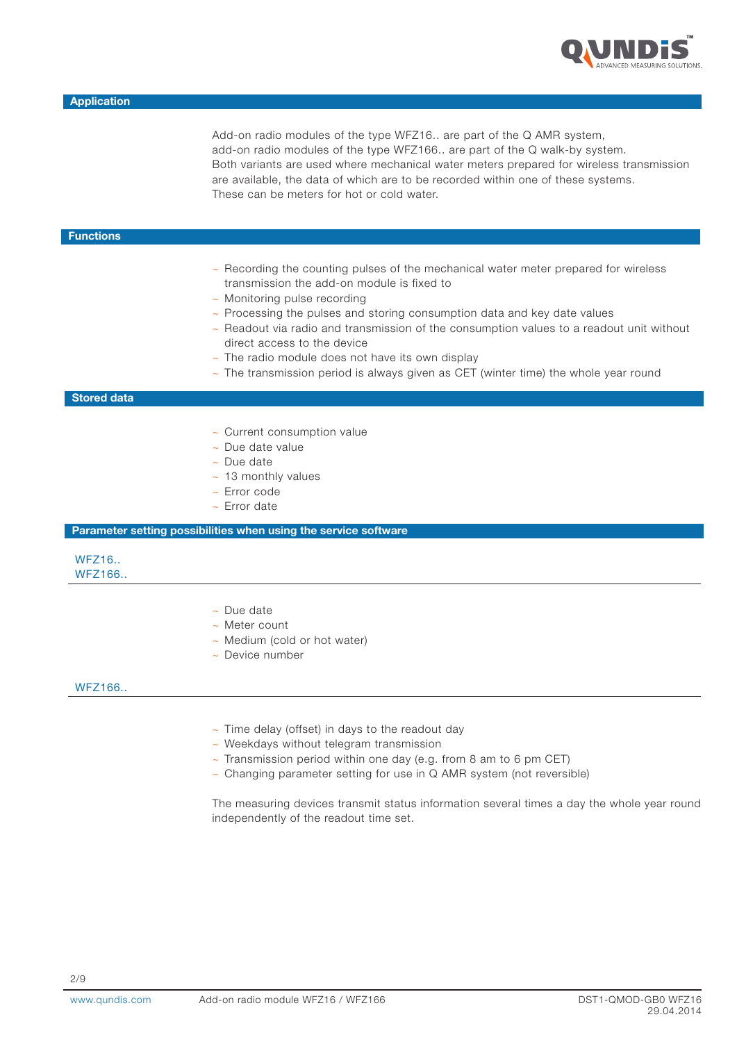

Add-on radio modules of the type WFZ16.. are part of the Q AMR system, add-on radio modules of the type WFZ166.. are part of the Q walk-by system. Both variants are used where mechanical water meters prepared for wireless transmission are available, the data of which are to be recorded within one of these systems. These can be meters for hot or cold water.

## **Functions**

- ~ Recording the counting pulses of the mechanical water meter prepared for wireless transmission the add-on module is fixed to
- ~ Monitoring pulse recording
- ~ Processing the pulses and storing consumption data and key date values
- $\sim$  Readout via radio and transmission of the consumption values to a readout unit without direct access to the device
- $\sim$  The radio module does not have its own display
- $\sim$  The transmission period is always given as CET (winter time) the whole year round

#### Stored data

- ~ Current consumption value
- ~ Due date value
- ~ Due date
- $~\sim$  13 monthly values
- ~ Error code
- ~ Error date

Parameter setting possibilities when using the service software

## WFZ16.. WFZ166..

- ~ Due date
- ~ Meter count
- ~ Medium (cold or hot water)
- ~ Device number

## WFZ166..

- $\sim$  Time delay (offset) in days to the readout day
- ~ Weekdays without telegram transmission
- $\sim$  Transmission period within one day (e.g. from 8 am to 6 pm CET)
- ~ Changing parameter setting for use in Q AMR system (not reversible)

The measuring devices transmit status information several times a day the whole year round independently of the readout time set.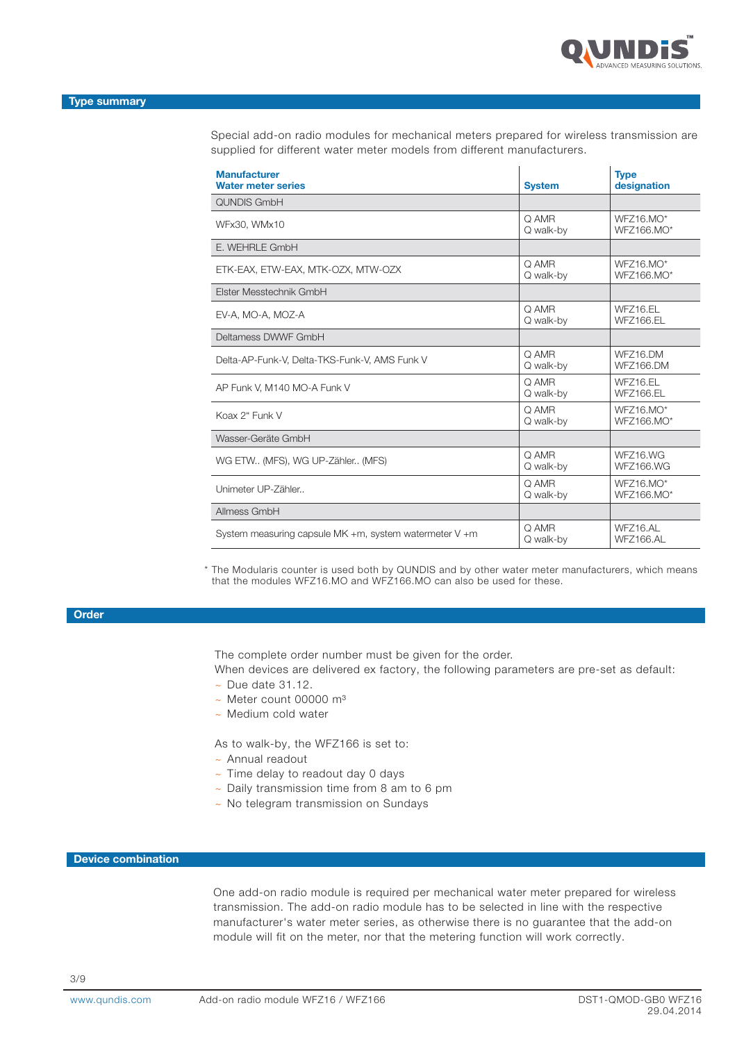

Special add-on radio modules for mechanical meters prepared for wireless transmission are supplied for different water meter models from different manufacturers.

| <b>Manufacturer</b><br><b>Water meter series</b>       | <b>System</b>      | <b>Type</b><br>designation   |
|--------------------------------------------------------|--------------------|------------------------------|
| <b>QUNDIS GmbH</b>                                     |                    |                              |
| WFx30, WMx10                                           | Q AMR<br>Q walk-by | $WFZ16.MO^*$<br>WFZ166.MO*   |
| E. WEHRLE GmbH                                         |                    |                              |
| ETK-EAX, ETW-EAX, MTK-OZX, MTW-OZX                     | Q AMR<br>Q walk-by | $WFZ16.MO^*$<br>WFZ166.MO*   |
| Elster Messtechnik GmbH                                |                    |                              |
| EV-A, MO-A, MOZ-A                                      | Q AMR<br>Q walk-by | WFZ16.EL<br>WFZ166.EL        |
| Deltamess DWWF GmbH                                    |                    |                              |
| Delta-AP-Funk-V, Delta-TKS-Funk-V, AMS Funk V          | Q AMR<br>Q walk-by | WFZ16.DM<br>WFZ166.DM        |
| AP Funk V, M140 MO-A Funk V                            | Q AMR<br>Q walk-by | WFZ16.EL<br>WFZ166.EL        |
| Koax 2" Funk V                                         | Q AMR<br>Q walk-by | $WFZ16.MO^*$<br>WFZ166.MO*   |
| Wasser-Geräte GmbH                                     |                    |                              |
| WG ETW (MFS), WG UP-Zähler (MFS)                       | Q AMR<br>Q walk-by | WFZ16.WG<br><b>WFZ166.WG</b> |
| Unimeter UP-Zähler                                     | Q AMR<br>Q walk-by | WFZ16.MO*<br>WFZ166.MO*      |
| Allmess GmbH                                           |                    |                              |
| System measuring capsule MK +m, system watermeter V +m | Q AMR<br>Q walk-by | WFZ16.AL<br>WFZ166.AL        |

\* The Modularis counter is used both by QUNDIS and by other water meter manufacturers, which means that the modules WFZ16.MO and WFZ166.MO can also be used for these.

## **Order**

The complete order number must be given for the order.

When devices are delivered ex factory, the following parameters are pre-set as default:

- $\sim$  Due date 31.12.
- $\sim$  Meter count 00000 m<sup>3</sup>
- ~ Medium cold water

As to walk-by, the WFZ166 is set to:

- ~ Annual readout
- ~ Time delay to readout day 0 days
- ~ Daily transmission time from 8 am to 6 pm
- ~ No telegram transmission on Sundays

## Device combination

One add-on radio module is required per mechanical water meter prepared for wireless transmission. The add-on radio module has to be selected in line with the respective manufacturer's water meter series, as otherwise there is no guarantee that the add-on module will fit on the meter, nor that the metering function will work correctly.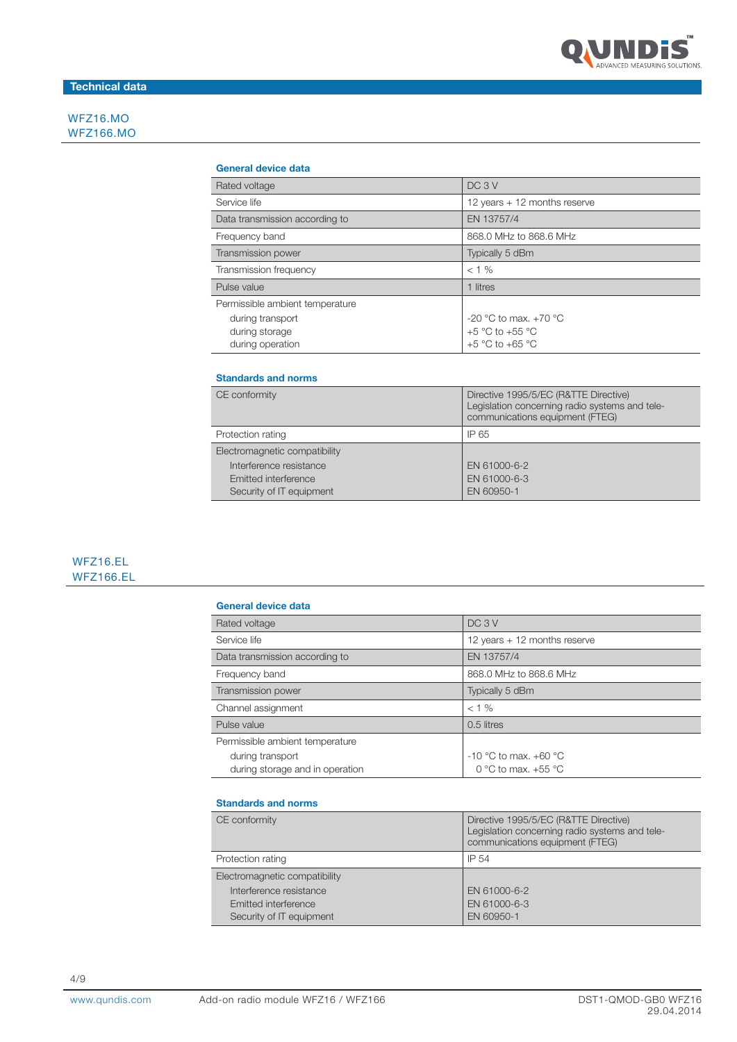

# Technical data

WFZ16.MO WFZ166.MO

## General device data

| Rated voltage                   | DC <sub>3</sub> V              |
|---------------------------------|--------------------------------|
| Service life                    | 12 years $+$ 12 months reserve |
| Data transmission according to  | EN 13757/4                     |
| Frequency band                  | 868.0 MHz to 868.6 MHz         |
| Transmission power              | Typically 5 dBm                |
| Transmission frequency          | $< 1\%$                        |
| Pulse value                     | 1 litres                       |
| Permissible ambient temperature |                                |
| during transport                | -20 °C to max. +70 °C          |
| during storage                  | $+5$ °C to $+55$ °C            |
| during operation                | $+5$ °C to $+65$ °C            |

#### Standards and norms

| CE conformity                 | Directive 1995/5/EC (R&TTE Directive)<br>Legislation concerning radio systems and tele-<br>communications equipment (FTEG) |
|-------------------------------|----------------------------------------------------------------------------------------------------------------------------|
| Protection rating             | IP 65                                                                                                                      |
| Electromagnetic compatibility |                                                                                                                            |
| Interference resistance       | EN 61000-6-2                                                                                                               |
| Emitted interference          | EN 61000-6-3                                                                                                               |
| Security of IT equipment      | EN 60950-1                                                                                                                 |

## WFZ16.EL WFZ166.EL

#### General device data

| Rated voltage                   | DC <sub>3</sub> V              |
|---------------------------------|--------------------------------|
| Service life                    | 12 years $+$ 12 months reserve |
| Data transmission according to  | EN 13757/4                     |
| Frequency band                  | 868.0 MHz to 868.6 MHz         |
| Transmission power              | Typically 5 dBm                |
| Channel assignment              | $< 1\%$                        |
| Pulse value                     | 0.5 litres                     |
| Permissible ambient temperature |                                |
| during transport                | -10 °C to max. +60 °C          |
| during storage and in operation | 0 °C to max. $+55$ °C          |

#### Standards and norms

| CE conformity                 | Directive 1995/5/EC (R&TTE Directive)<br>Legislation concerning radio systems and tele-<br>communications equipment (FTEG) |
|-------------------------------|----------------------------------------------------------------------------------------------------------------------------|
| Protection rating             | IP 54                                                                                                                      |
| Electromagnetic compatibility |                                                                                                                            |
| Interference resistance       | EN 61000-6-2                                                                                                               |
| Emitted interference          | EN 61000-6-3                                                                                                               |
| Security of IT equipment      | EN 60950-1                                                                                                                 |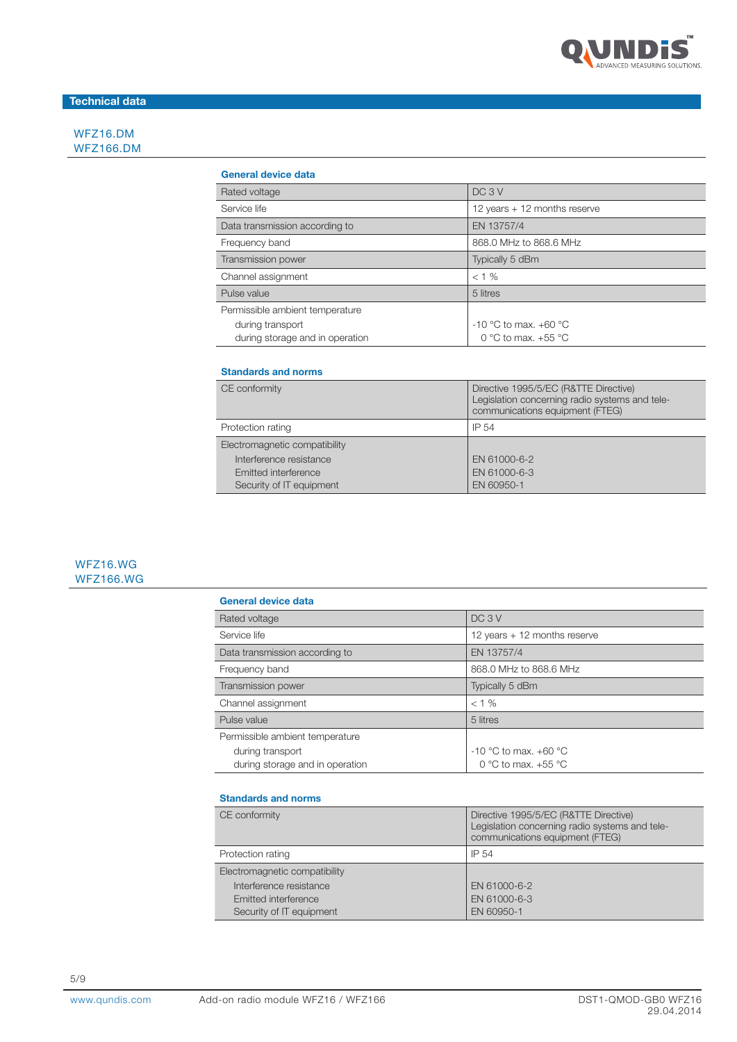

# Technical data

WFZ16.DM WFZ166.DM

#### General device data

| DC <sub>3</sub> V            |
|------------------------------|
| 12 years + 12 months reserve |
| EN 13757/4                   |
| 868.0 MHz to 868.6 MHz       |
| Typically 5 dBm              |
| $< 1\%$                      |
| 5 litres                     |
|                              |
| $-10$ °C to max, $+60$ °C    |
| 0 °C to max. $+55$ °C        |
|                              |

#### Standards and norms

| CE conformity                 | Directive 1995/5/EC (R&TTE Directive)<br>Legislation concerning radio systems and tele-<br>communications equipment (FTEG) |
|-------------------------------|----------------------------------------------------------------------------------------------------------------------------|
| Protection rating             | IP 54                                                                                                                      |
| Electromagnetic compatibility |                                                                                                                            |
| Interference resistance       | EN 61000-6-2                                                                                                               |
| Emitted interference          | EN 61000-6-3                                                                                                               |
| Security of IT equipment      | EN 60950-1                                                                                                                 |

# WFZ16.WG WFZ166.WG

| General device data             |                              |
|---------------------------------|------------------------------|
| Rated voltage                   | DC <sub>3</sub> V            |
| Service life                    | 12 years + 12 months reserve |
| Data transmission according to  | EN 13757/4                   |
| Frequency band                  | 868.0 MHz to 868.6 MHz       |
| <b>Transmission power</b>       | Typically 5 dBm              |
| Channel assignment              | $< 1 \%$                     |
| Pulse value                     | 5 litres                     |
| Permissible ambient temperature |                              |
| during transport                | $-10$ °C to max, $+60$ °C    |
| during storage and in operation | 0 °C to max. $+55$ °C        |

### Standards and norms

| CE conformity                 | Directive 1995/5/EC (R&TTE Directive)<br>Legislation concerning radio systems and tele-<br>communications equipment (FTEG) |
|-------------------------------|----------------------------------------------------------------------------------------------------------------------------|
| Protection rating             | IP 54                                                                                                                      |
| Electromagnetic compatibility |                                                                                                                            |
| Interference resistance       | EN 61000-6-2                                                                                                               |
| Emitted interference          | EN 61000-6-3                                                                                                               |
| Security of IT equipment      | EN 60950-1                                                                                                                 |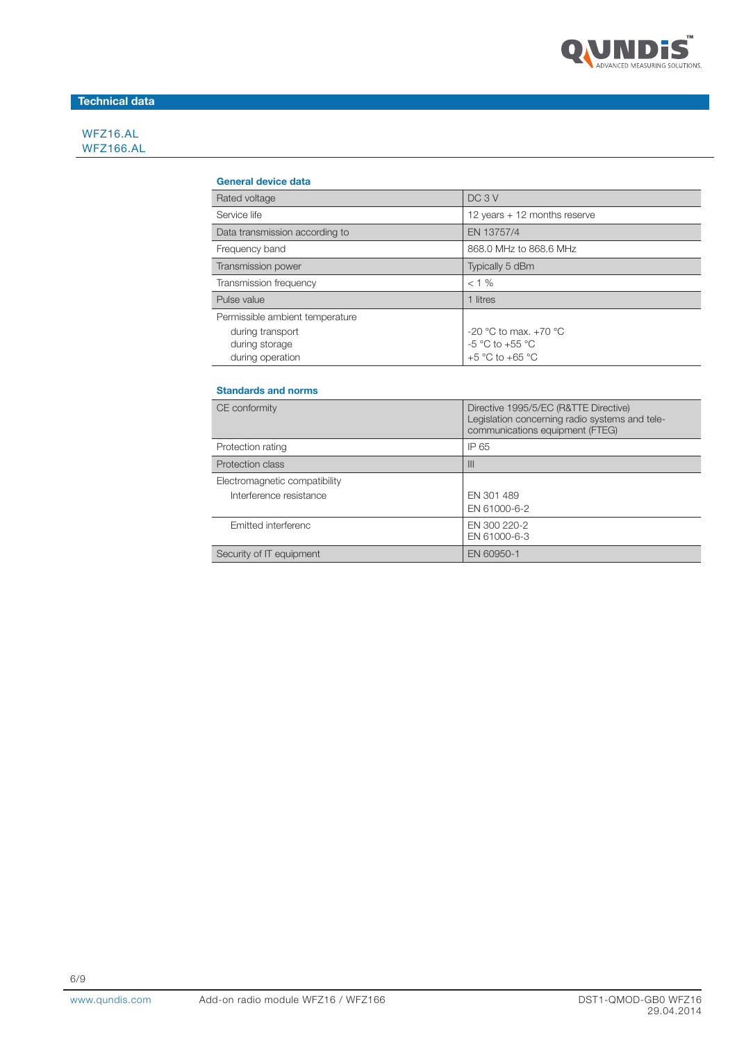

# Technical data

WFZ16.AL WFZ166.AL

#### General device data

| Rated voltage                   | DC <sub>3</sub> V              |
|---------------------------------|--------------------------------|
| Service life                    | 12 years $+$ 12 months reserve |
| Data transmission according to  | EN 13757/4                     |
| Frequency band                  | 868.0 MHz to 868.6 MHz         |
| Transmission power              | Typically 5 dBm                |
| Transmission frequency          | $< 1 \%$                       |
| Pulse value                     | 1 litres                       |
| Permissible ambient temperature |                                |
| during transport                | -20 °C to max. +70 °C          |
| during storage                  | $-5$ °C to $+55$ °C            |
| during operation                | $+5$ °C to $+65$ °C            |

## Standards and norms

| CE conformity                 | Directive 1995/5/EC (R&TTE Directive)<br>Legislation concerning radio systems and tele-<br>communications equipment (FTEG) |
|-------------------------------|----------------------------------------------------------------------------------------------------------------------------|
| Protection rating             | IP 65                                                                                                                      |
| Protection class              | III                                                                                                                        |
| Electromagnetic compatibility |                                                                                                                            |
| Interference resistance       | EN 301 489<br>EN 61000-6-2                                                                                                 |
| Emitted interferenc           | EN 300 220-2<br>EN 61000-6-3                                                                                               |
| Security of IT equipment      | EN 60950-1                                                                                                                 |

6/9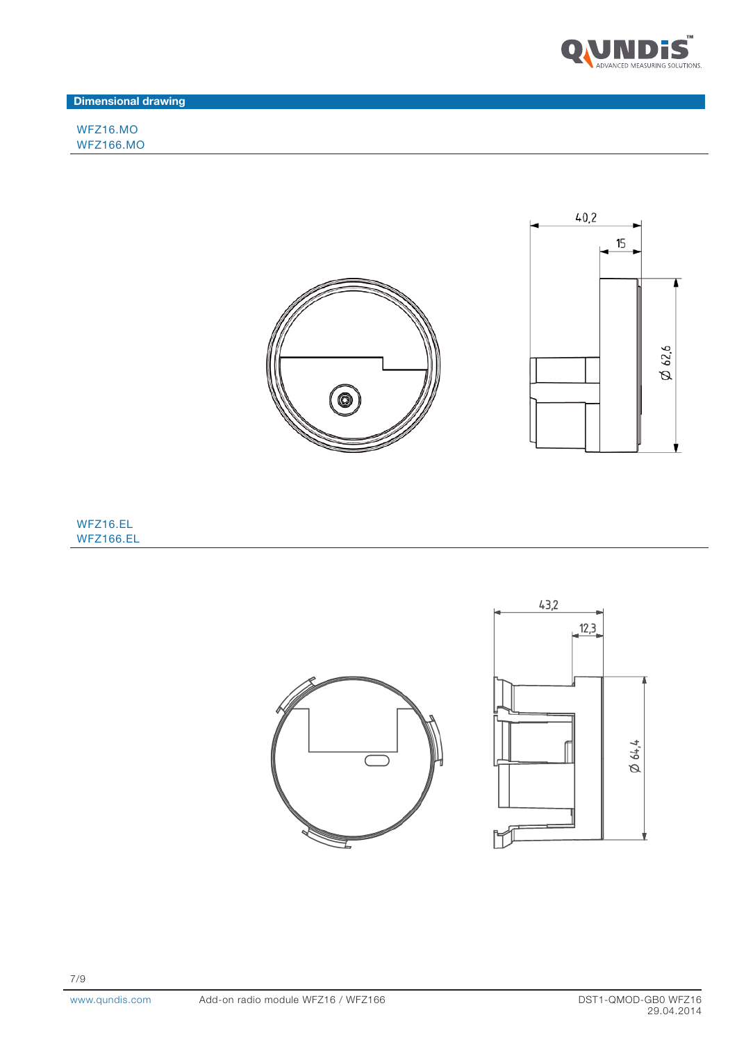

Dimensional drawing

WFZ16.MO WFZ166.MO



# WFZ16.EL WFZ166.EL

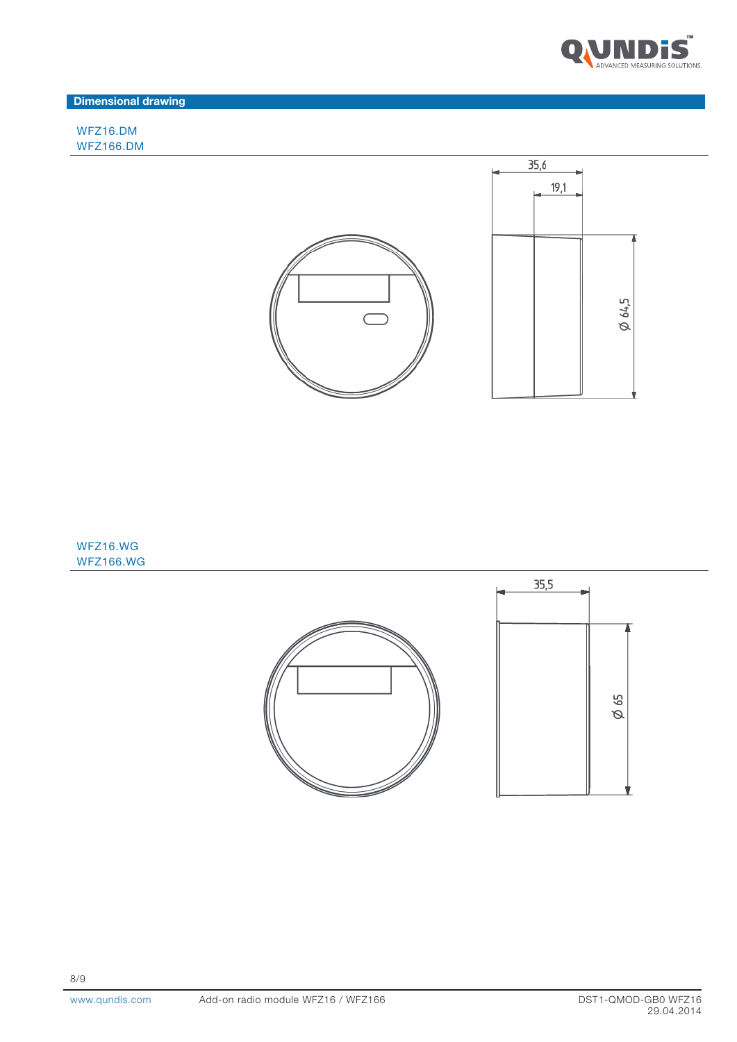

Dimensional drawing

WFZ16.DM WFZ166.DM



WFZ16.WG WFZ166.WG